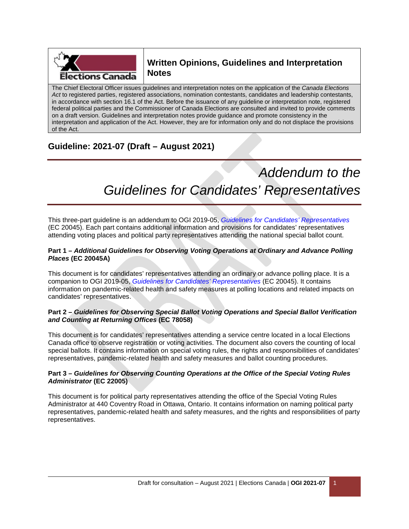

# **Written Opinions, Guidelines and Interpretation Notes**

The Chief Electoral Officer issues guidelines and interpretation notes on the application of the *Canada Elections Act* to registered parties, registered associations, nomination contestants, candidates and leadership contestants, in accordance with section 16.1 of the Act. Before the issuance of any guideline or interpretation note, registered federal political parties and the Commissioner of Canada Elections are consulted and invited to provide comments on a draft version. Guidelines and interpretation notes provide guidance and promote consistency in the interpretation and application of the Act. However, they are for information only and do not displace the provisions of the Act.

# **Guideline: 2021-07 (Draft – August 2021)**

# *Addendum to the Guidelines for Candidates' Representatives*

This three-part guideline is an addendum to OGI 2019-05, *Guidelines for Candidates' Representatives* (EC 20045). Each part contains additional information and provisions for candidates' representatives attending voting places and political party representatives attending the national special ballot count.

#### **Part 1 –** *Additional Guidelines for Observing Voting Operations at Ordinary and Advance Polling Places* **(EC 20045A)**

This document is for candidates' representatives attending an ordinary or advance polling place. It is a companion to OGI 2019-05, *Guidelines for Candidates' Representatives* (EC 20045). It contains information on pandemic-related health and safety measures at polling locations and related impacts on candidates' representatives.

#### **Part 2 –** *Guidelines for Observing Special Ballot Voting Operations and Special Ballot Verification and Counting at Returning Offices* **(EC 78058)**

This document is for candidates' representatives attending a service centre located in a local Elections Canada office to observe registration or voting activities. The document also covers the counting of local special ballots. It contains information on special voting rules, the rights and responsibilities of candidates' representatives, pandemic-related health and safety measures and ballot counting procedures.

#### **Part 3 –** *Guidelines for Observing Counting Operations at the Office of the Special Voting Rules Administrator* **(EC 22005)**

This document is for political party representatives attending the office of the Special Voting Rules Administrator at 440 Coventry Road in Ottawa, Ontario. It contains information on naming political party representatives, pandemic-related health and safety measures, and the rights and responsibilities of party representatives.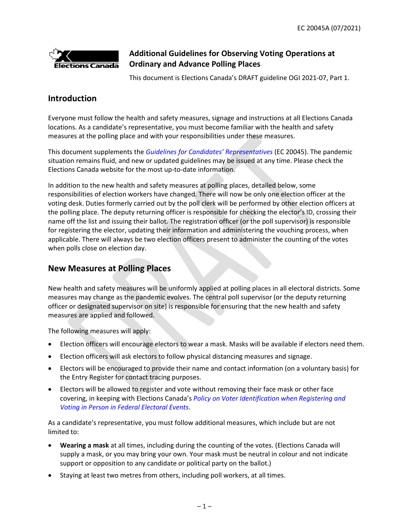

# **Additional Guidelines for Observing Voting Operations at Ordinary and Advance Polling Places**

This document is Elections Canada's DRAFT guideline OGI 2021-07, Part 1.

### **Introduction**

Everyone must follow the health and safety measures, signage and instructions at all Elections Canada locations. As a candidate's representative, you must become familiar with the health and safety measures at the polling place and with your responsibilities under these measures.

This document supplements the *Guidelines for Candidates' Representatives* (EC 20045). The pandemic situation remains fluid, and new or updated guidelines may be issued at any time. Please check the Elections Canada website for the most up-to-date information.

In addition to the new health and safety measures at polling places, detailed below, some responsibilities of election workers have changed. There will now be only one election officer at the voting desk. Duties formerly carried out by the poll clerk will be performed by other election officers at the polling place. The deputy returning officer is responsible for checking the elector's ID, crossing their name off the list and issuing their ballot. The registration officer (or the poll supervisor) is responsible for registering the elector, updating their information and administering the vouching process, when applicable. There will always be two election officers present to administer the counting of the votes when polls close on election day.

# **New Measures at Polling Places**

New health and safety measures will be uniformly applied at polling places in all electoral districts. Some measures may change as the pandemic evolves. The central poll supervisor (or the deputy returning officer or designated supervisor on site) is responsible for ensuring that the new health and safety measures are applied and followed.

The following measures will apply:

- Election officers will encourage electors to wear a mask. Masks will be available if electors need them.
- Election officers will ask electors to follow physical distancing measures and signage.
- Electors will be encouraged to provide their name and contact information (on a voluntary basis) for the Entry Register for contact tracing purposes.
- Electors will be allowed to register and vote without removing their face mask or other face covering, in keeping with Elections Canada's *Policy on Voter Identification when Registering and Voting in Person in Federal Electoral Events*.

As a candidate's representative, you must follow additional measures, which include but are not limited to:

- **Wearing a mask** at all times, including during the counting of the votes. (Elections Canada will supply a mask, or you may bring your own. Your mask must be neutral in colour and not indicate support or opposition to any candidate or political party on the ballot.)
- Staying at least two metres from others, including poll workers, at all times.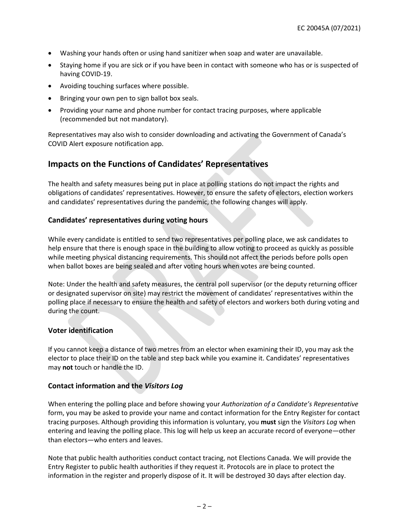- Washing your hands often or using hand sanitizer when soap and water are unavailable.
- Staying home if you are sick or if you have been in contact with someone who has or is suspected of having COVID-19.
- Avoiding touching surfaces where possible.
- Bringing your own pen to sign ballot box seals.
- Providing your name and phone number for contact tracing purposes, where applicable (recommended but not mandatory).

Representatives may also wish to consider downloading and activating the Government of Canada's COVID Alert exposure notification app.

### **Impacts on the Functions of Candidates' Representatives**

The health and safety measures being put in place at polling stations do not impact the rights and obligations of candidates' representatives. However, to ensure the safety of electors, election workers and candidates' representatives during the pandemic, the following changes will apply.

#### **Candidates' representatives during voting hours**

While every candidate is entitled to send two representatives per polling place, we ask candidates to help ensure that there is enough space in the building to allow voting to proceed as quickly as possible while meeting physical distancing requirements. This should not affect the periods before polls open when ballot boxes are being sealed and after voting hours when votes are being counted.

Note: Under the health and safety measures, the central poll supervisor (or the deputy returning officer or designated supervisor on site) may restrict the movement of candidates' representatives within the polling place if necessary to ensure the health and safety of electors and workers both during voting and during the count.

#### **Voter identification**

If you cannot keep a distance of two metres from an elector when examining their ID, you may ask the elector to place their ID on the table and step back while you examine it. Candidates' representatives may **not** touch or handle the ID.

#### **Contact information and the** *Visitors Log*

When entering the polling place and before showing your *Authorization of a Candidate's Representative* form, you may be asked to provide your name and contact information for the Entry Register for contact tracing purposes. Although providing this information is voluntary, you **must** sign the *Visitors Log* when entering and leaving the polling place. This log will help us keep an accurate record of everyone—other than electors—who enters and leaves.

Note that public health authorities conduct contact tracing, not Elections Canada. We will provide the Entry Register to public health authorities if they request it. Protocols are in place to protect the information in the register and properly dispose of it. It will be destroyed 30 days after election day.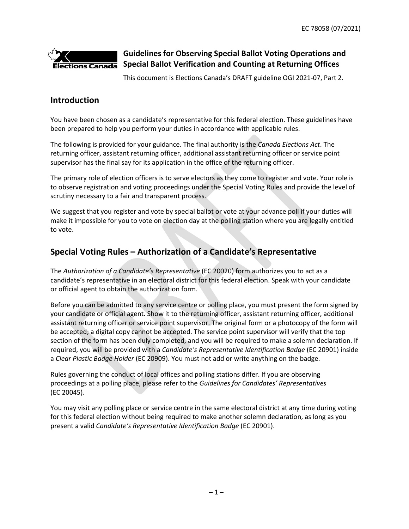

# **Guidelines for Observing Special Ballot Voting Operations and Special Ballot Verification and Counting at Returning Offices**

This document is Elections Canada's DRAFT guideline OGI 2021-07, Part 2.

# **Introduction**

You have been chosen as a candidate's representative for this federal election. These guidelines have been prepared to help you perform your duties in accordance with applicable rules.

The following is provided for your guidance. The final authority is the *Canada Elections Act*. The returning officer, assistant returning officer, additional assistant returning officer or service point supervisor has the final say for its application in the office of the returning officer.

The primary role of election officers is to serve electors as they come to register and vote. Your role is to observe registration and voting proceedings under the Special Voting Rules and provide the level of scrutiny necessary to a fair and transparent process.

We suggest that you register and vote by special ballot or vote at your advance poll if your duties will make it impossible for you to vote on election day at the polling station where you are legally entitled to vote.

# **Special Voting Rules – Authorization of a Candidate's Representative**

The *Authorization of a Candidate's Representative* (EC 20020) form authorizes you to act as a candidate's representative in an electoral district for this federal election. Speak with your candidate or official agent to obtain the authorization form.

Before you can be admitted to any service centre or polling place, you must present the form signed by your candidate or official agent. Show it to the returning officer, assistant returning officer, additional assistant returning officer or service point supervisor. The original form or a photocopy of the form will be accepted; a digital copy cannot be accepted. The service point supervisor will verify that the top section of the form has been duly completed, and you will be required to make a solemn declaration. If required, you will be provided with a *Candidate's Representative Identification Badge* (EC 20901) inside a *Clear Plastic Badge Holder* (EC 20909). You must not add or write anything on the badge.

Rules governing the conduct of local offices and polling stations differ. If you are observing proceedings at a polling place, please refer to the *Guidelines for Candidates' Representatives*  (EC 20045).

You may visit any polling place or service centre in the same electoral district at any time during voting for this federal election without being required to make another solemn declaration, as long as you present a valid *Candidate's Representative Identification Badge* (EC 20901).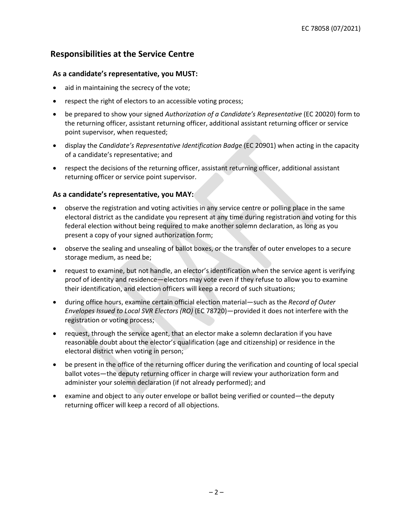# **Responsibilities at the Service Centre**

#### **As a candidate's representative, you MUST:**

- aid in maintaining the secrecy of the vote;
- respect the right of electors to an accessible voting process;
- be prepared to show your signed *Authorization of a Candidate's Representative* (EC 20020) form to the returning officer, assistant returning officer, additional assistant returning officer or service point supervisor, when requested;
- display the *Candidate's Representative Identification Badge* (EC 20901) when acting in the capacity of a candidate's representative; and
- respect the decisions of the returning officer, assistant returning officer, additional assistant returning officer or service point supervisor.

#### **As a candidate's representative, you MAY:**

- observe the registration and voting activities in any service centre or polling place in the same electoral district as the candidate you represent at any time during registration and voting for this federal election without being required to make another solemn declaration, as long as you present a copy of your signed authorization form;
- observe the sealing and unsealing of ballot boxes, or the transfer of outer envelopes to a secure storage medium, as need be;
- request to examine, but not handle, an elector's identification when the service agent is verifying proof of identity and residence—electors may vote even if they refuse to allow you to examine their identification, and election officers will keep a record of such situations;
- during office hours, examine certain official election material—such as the *Record of Outer Envelopes Issued to Local SVR Electors (RO)* (EC 78720)—provided it does not interfere with the registration or voting process;
- request, through the service agent, that an elector make a solemn declaration if you have reasonable doubt about the elector's qualification (age and citizenship) or residence in the electoral district when voting in person;
- be present in the office of the returning officer during the verification and counting of local special ballot votes—the deputy returning officer in charge will review your authorization form and administer your solemn declaration (if not already performed); and
- examine and object to any outer envelope or ballot being verified or counted—the deputy returning officer will keep a record of all objections.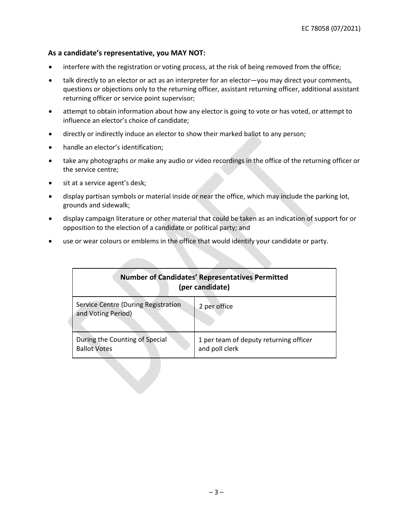#### **As a candidate's representative, you MAY NOT:**

- interfere with the registration or voting process, at the risk of being removed from the office;
- talk directly to an elector or act as an interpreter for an elector—you may direct your comments, questions or objections only to the returning officer, assistant returning officer, additional assistant returning officer or service point supervisor;
- attempt to obtain information about how any elector is going to vote or has voted, or attempt to influence an elector's choice of candidate;
- directly or indirectly induce an elector to show their marked ballot to any person;
- handle an elector's identification;
- take any photographs or make any audio or video recordings in the office of the returning officer or the service centre;
- sit at a service agent's desk;
- display partisan symbols or material inside or near the office, which may include the parking lot, grounds and sidewalk;
- display campaign literature or other material that could be taken as an indication of support for or opposition to the election of a candidate or political party; and
- use or wear colours or emblems in the office that would identify your candidate or party.

|                                                                  | <b>Number of Candidates' Representatives Permitted</b><br>(per candidate) |
|------------------------------------------------------------------|---------------------------------------------------------------------------|
| <b>Service Centre (During Registration</b><br>and Voting Period) | 2 per office                                                              |
| During the Counting of Special<br><b>Ballot Votes</b>            | 1 per team of deputy returning officer<br>and poll clerk                  |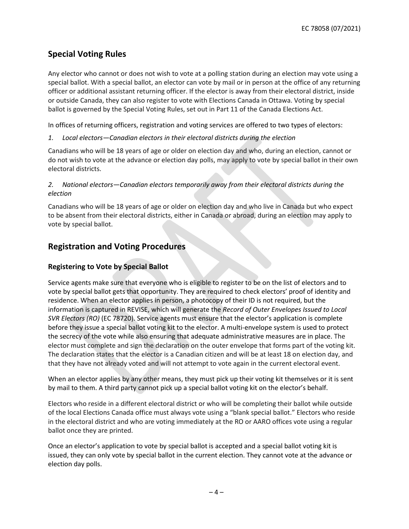# **Special Voting Rules**

Any elector who cannot or does not wish to vote at a polling station during an election may vote using a special ballot. With a special ballot, an elector can vote by mail or in person at the office of any returning officer or additional assistant returning officer. If the elector is away from their electoral district, inside or outside Canada, they can also register to vote with Elections Canada in Ottawa. Voting by special ballot is governed by the Special Voting Rules, set out in Part 11 of the Canada Elections Act.

In offices of returning officers, registration and voting services are offered to two types of electors:

*1. Local electors—Canadian electors in their electoral districts during the election* 

Canadians who will be 18 years of age or older on election day and who, during an election, cannot or do not wish to vote at the advance or election day polls, may apply to vote by special ballot in their own electoral districts.

#### *2. National electors—Canadian electors temporarily away from their electoral districts during the election*

Canadians who will be 18 years of age or older on election day and who live in Canada but who expect to be absent from their electoral districts, either in Canada or abroad, during an election may apply to vote by special ballot.

### **Registration and Voting Procedures**

#### **Registering to Vote by Special Ballot**

Service agents make sure that everyone who is eligible to register to be on the list of electors and to vote by special ballot gets that opportunity. They are required to check electors' proof of identity and residence. When an elector applies in person, a photocopy of their ID is not required, but the information is captured in REVISE, which will generate the *Record of Outer Envelopes Issued to Local SVR Electors (RO)* (EC 78720). Service agents must ensure that the elector's application is complete before they issue a special ballot voting kit to the elector. A multi-envelope system is used to protect the secrecy of the vote while also ensuring that adequate administrative measures are in place. The elector must complete and sign the declaration on the outer envelope that forms part of the voting kit. The declaration states that the elector is a Canadian citizen and will be at least 18 on election day, and that they have not already voted and will not attempt to vote again in the current electoral event.

When an elector applies by any other means, they must pick up their voting kit themselves or it is sent by mail to them. A third party cannot pick up a special ballot voting kit on the elector's behalf.

Electors who reside in a different electoral district or who will be completing their ballot while outside of the local Elections Canada office must always vote using a "blank special ballot." Electors who reside in the electoral district and who are voting immediately at the RO or AARO offices vote using a regular ballot once they are printed.

Once an elector's application to vote by special ballot is accepted and a special ballot voting kit is issued, they can only vote by special ballot in the current election. They cannot vote at the advance or election day polls.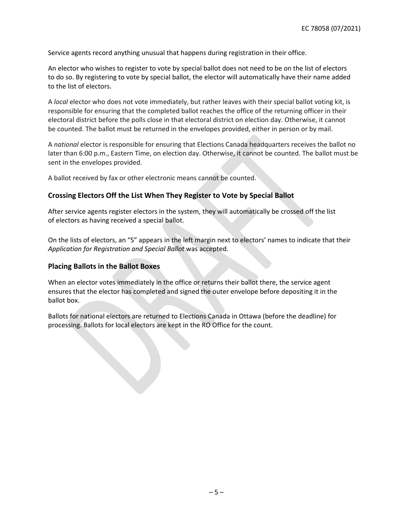Service agents record anything unusual that happens during registration in their office.

An elector who wishes to register to vote by special ballot does not need to be on the list of electors to do so. By registering to vote by special ballot, the elector will automatically have their name added to the list of electors.

A *local* elector who does not vote immediately, but rather leaves with their special ballot voting kit, is responsible for ensuring that the completed ballot reaches the office of the returning officer in their electoral district before the polls close in that electoral district on election day. Otherwise, it cannot be counted. The ballot must be returned in the envelopes provided, either in person or by mail.

A *national* elector is responsible for ensuring that Elections Canada headquarters receives the ballot no later than 6:00 p.m., Eastern Time, on election day. Otherwise, it cannot be counted. The ballot must be sent in the envelopes provided.

A ballot received by fax or other electronic means cannot be counted.

#### **Crossing Electors Off the List When They Register to Vote by Special Ballot**

After service agents register electors in the system, they will automatically be crossed off the list of electors as having received a special ballot.

On the lists of electors, an "S" appears in the left margin next to electors' names to indicate that their *Application for Registration and Special Ballot* was accepted.

#### **Placing Ballots in the Ballot Boxes**

When an elector votes immediately in the office or returns their ballot there, the service agent ensures that the elector has completed and signed the outer envelope before depositing it in the ballot box.

Ballots for national electors are returned to Elections Canada in Ottawa (before the deadline) for processing. Ballots for local electors are kept in the RO Office for the count.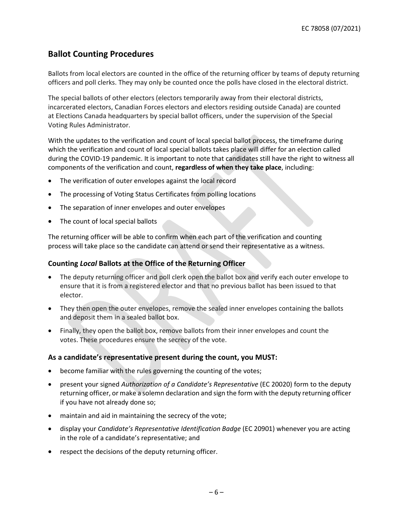# **Ballot Counting Procedures**

Ballots from local electors are counted in the office of the returning officer by teams of deputy returning officers and poll clerks. They may only be counted once the polls have closed in the electoral district.

The special ballots of other electors (electors temporarily away from their electoral districts, incarcerated electors, Canadian Forces electors and electors residing outside Canada) are counted at Elections Canada headquarters by special ballot officers, under the supervision of the Special Voting Rules Administrator.

With the updates to the verification and count of local special ballot process, the timeframe during which the verification and count of local special ballots takes place will differ for an election called during the COVID-19 pandemic. It is important to note that candidates still have the right to witness all components of the verification and count, **regardless of when they take place**, including:

- The verification of outer envelopes against the local record
- The processing of Voting Status Certificates from polling locations
- The separation of inner envelopes and outer envelopes
- The count of local special ballots

The returning officer will be able to confirm when each part of the verification and counting process will take place so the candidate can attend or send their representative as a witness.

#### **Counting** *Local* **Ballots at the Office of the Returning Officer**

- The deputy returning officer and poll clerk open the ballot box and verify each outer envelope to ensure that it is from a registered elector and that no previous ballot has been issued to that elector.
- They then open the outer envelopes, remove the sealed inner envelopes containing the ballots and deposit them in a sealed ballot box.
- Finally, they open the ballot box, remove ballots from their inner envelopes and count the votes. These procedures ensure the secrecy of the vote.

#### **As a candidate's representative present during the count, you MUST:**

- become familiar with the rules governing the counting of the votes;
- present your signed *Authorization of a Candidate's Representative* (EC 20020) form to the deputy returning officer, or make a solemn declaration and sign the form with the deputy returning officer if you have not already done so;
- maintain and aid in maintaining the secrecy of the vote;
- display your *Candidate's Representative Identification Badge* (EC 20901) whenever you are acting in the role of a candidate's representative; and
- respect the decisions of the deputy returning officer.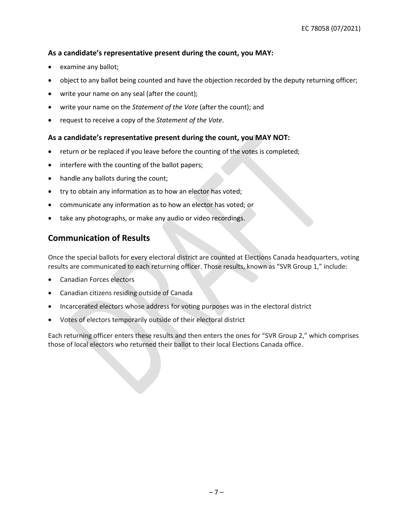#### **As a candidate's representative present during the count, you MAY:**

- examine any ballot;
- object to any ballot being counted and have the objection recorded by the deputy returning officer;
- write your name on any seal (after the count);
- write your name on the *Statement of the Vote* (after the count); and
- request to receive a copy of the *Statement of the Vote*.

#### **As a candidate's representative present during the count, you MAY NOT:**

- return or be replaced if you leave before the counting of the votes is completed;
- interfere with the counting of the ballot papers;
- handle any ballots during the count;
- try to obtain any information as to how an elector has voted;
- communicate any information as to how an elector has voted; or
- take any photographs, or make any audio or video recordings.

### **Communication of Results**

Once the special ballots for every electoral district are counted at Elections Canada headquarters, voting results are communicated to each returning officer. Those results, known as "SVR Group 1," include:

- Canadian Forces electors
- Canadian citizens residing outside of Canada
- Incarcerated electors whose address for voting purposes was in the electoral district
- Votes of electors temporarily outside of their electoral district

Each returning officer enters these results and then enters the ones for "SVR Group 2," which comprises those of local electors who returned their ballot to their local Elections Canada office.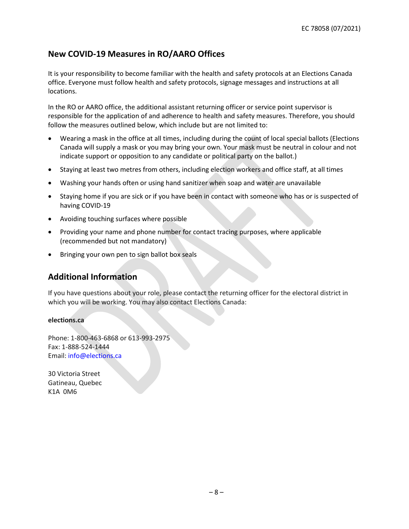# **New COVID-19 Measures in RO/AARO Offices**

It is your responsibility to become familiar with the health and safety protocols at an Elections Canada office. Everyone must follow health and safety protocols, signage messages and instructions at all locations.

In the RO or AARO office, the additional assistant returning officer or service point supervisor is responsible for the application of and adherence to health and safety measures. Therefore, you should follow the measures outlined below, which include but are not limited to:

- Wearing a mask in the office at all times, including during the count of local special ballots (Elections Canada will supply a mask or you may bring your own. Your mask must be neutral in colour and not indicate support or opposition to any candidate or political party on the ballot.)
- Staying at least two metres from others, including election workers and office staff, at all times
- Washing your hands often or using hand sanitizer when soap and water are unavailable
- Staying home if you are sick or if you have been in contact with someone who has or is suspected of having COVID-19
- Avoiding touching surfaces where possible
- Providing your name and phone number for contact tracing purposes, where applicable (recommended but not mandatory)
- Bringing your own pen to sign ballot box seals

### **Additional Information**

If you have questions about your role, please contact the returning officer for the electoral district in which you will be working. You may also contact Elections Canada:

#### **elections.ca**

Phone: 1-800-463-6868 or 613-993-2975 Fax: 1-888-524-1444 Email: info@elections.ca

30 Victoria Street Gatineau, Quebec K1A 0M6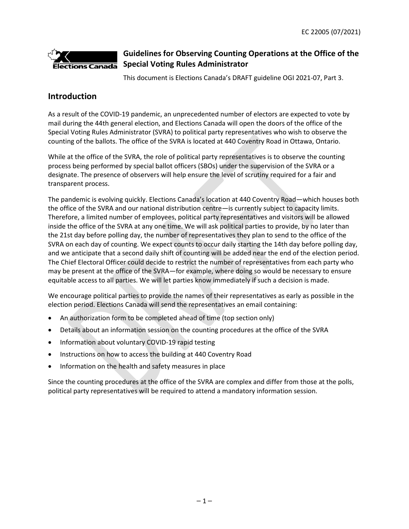

# **Guidelines for Observing Counting Operations at the Office of the Special Voting Rules Administrator**

This document is Elections Canada's DRAFT guideline OGI 2021-07, Part 3.

### **Introduction**

As a result of the COVID-19 pandemic, an unprecedented number of electors are expected to vote by mail during the 44th general election, and Elections Canada will open the doors of the office of the Special Voting Rules Administrator (SVRA) to political party representatives who wish to observe the counting of the ballots. The office of the SVRA is located at 440 Coventry Road in Ottawa, Ontario.

While at the office of the SVRA, the role of political party representatives is to observe the counting process being performed by special ballot officers (SBOs) under the supervision of the SVRA or a designate. The presence of observers will help ensure the level of scrutiny required for a fair and transparent process.

The pandemic is evolving quickly. Elections Canada's location at 440 Coventry Road—which houses both the office of the SVRA and our national distribution centre—is currently subject to capacity limits. Therefore, a limited number of employees, political party representatives and visitors will be allowed inside the office of the SVRA at any one time. We will ask political parties to provide, by no later than the 21st day before polling day, the number of representatives they plan to send to the office of the SVRA on each day of counting. We expect counts to occur daily starting the 14th day before polling day, and we anticipate that a second daily shift of counting will be added near the end of the election period. The Chief Electoral Officer could decide to restrict the number of representatives from each party who may be present at the office of the SVRA—for example, where doing so would be necessary to ensure equitable access to all parties. We will let parties know immediately if such a decision is made.

We encourage political parties to provide the names of their representatives as early as possible in the election period. Elections Canada will send the representatives an email containing:

- An authorization form to be completed ahead of time (top section only)
- Details about an information session on the counting procedures at the office of the SVRA
- Information about voluntary COVID-19 rapid testing
- Instructions on how to access the building at 440 Coventry Road
- Information on the health and safety measures in place

Since the counting procedures at the office of the SVRA are complex and differ from those at the polls, political party representatives will be required to attend a mandatory information session.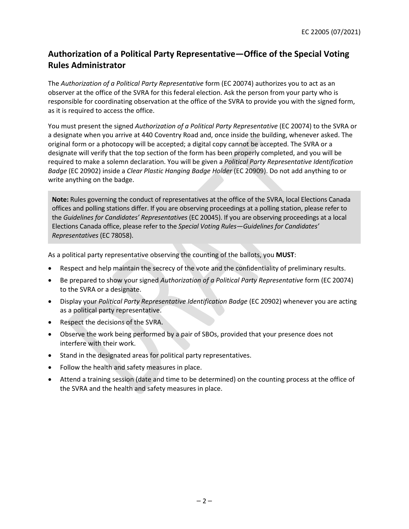# **Authorization of a Political Party Representative—Office of the Special Voting Rules Administrator**

The *Authorization of a Political Party Representative* form (EC 20074) authorizes you to act as an observer at the office of the SVRA for this federal election. Ask the person from your party who is responsible for coordinating observation at the office of the SVRA to provide you with the signed form, as it is required to access the office.

You must present the signed *Authorization of a Political Party Representative* (EC 20074) to the SVRA or a designate when you arrive at 440 Coventry Road and, once inside the building, whenever asked. The original form or a photocopy will be accepted; a digital copy cannot be accepted. The SVRA or a designate will verify that the top section of the form has been properly completed, and you will be required to make a solemn declaration. You will be given a *Political Party Representative Identification Badge* (EC 20902) inside a *Clear Plastic Hanging Badge Holder* (EC 20909). Do not add anything to or write anything on the badge.

**Note:** Rules governing the conduct of representatives at the office of the SVRA, local Elections Canada offices and polling stations differ. If you are observing proceedings at a polling station, please refer to the *Guidelines for Candidates' Representatives* (EC 20045). If you are observing proceedings at a local Elections Canada office, please refer to the *Special Voting Rules—Guidelines for Candidates' Representatives* (EC 78058).

As a political party representative observing the counting of the ballots, you **MUST**:

- Respect and help maintain the secrecy of the vote and the confidentiality of preliminary results.
- Be prepared to show your signed *Authorization of a Political Party Representative* form (EC 20074) to the SVRA or a designate.
- Display your *Political Party Representative Identification Badge* (EC 20902) whenever you are acting as a political party representative.
- Respect the decisions of the SVRA.
- Observe the work being performed by a pair of SBOs, provided that your presence does not interfere with their work.
- Stand in the designated areas for political party representatives.
- Follow the health and safety measures in place.
- Attend a training session (date and time to be determined) on the counting process at the office of the SVRA and the health and safety measures in place.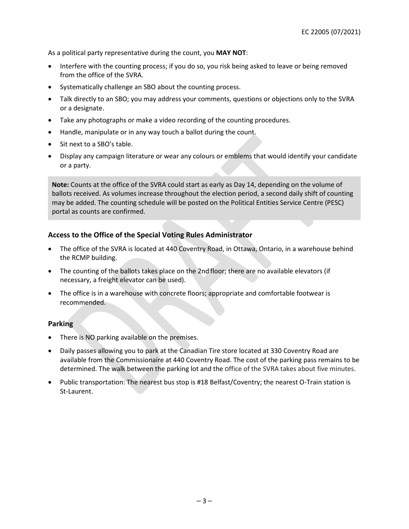As a political party representative during the count, you **MAY NOT**:

- Interfere with the counting process; if you do so, you risk being asked to leave or being removed from the office of the SVRA.
- Systematically challenge an SBO about the counting process.
- Talk directly to an SBO; you may address your comments, questions or objections only to the SVRA or a designate.
- Take any photographs or make a video recording of the counting procedures.
- Handle, manipulate or in any way touch a ballot during the count.
- Sit next to a SBO's table.
- Display any campaign literature or wear any colours or emblems that would identify your candidate or a party.

**Note:** Counts at the office of the SVRA could start as early as Day 14, depending on the volume of ballots received. As volumes increase throughout the election period, a second daily shift of counting may be added. The counting schedule will be posted on the Political Entities Service Centre (PESC) portal as counts are confirmed.

#### **Access to the Office of the Special Voting Rules Administrator**

- The office of the SVRA is located at 440 Coventry Road, in Ottawa, Ontario, in a warehouse behind the RCMP building.
- The counting of the ballots takes place on the 2nd floor; there are no available elevators (if necessary, a freight elevator can be used).
- The office is in a warehouse with concrete floors; appropriate and comfortable footwear is recommended.

#### **Parking**

- There is NO parking available on the premises.
- Daily passes allowing you to park at the Canadian Tire store located at 330 Coventry Road are available from the Commissionaire at 440 Coventry Road. The cost of the parking pass remains to be determined. The walk between the parking lot and the office of the SVRA takes about five minutes.
- Public transportation: The nearest bus stop is #18 Belfast/Coventry; the nearest O-Train station is St-Laurent.